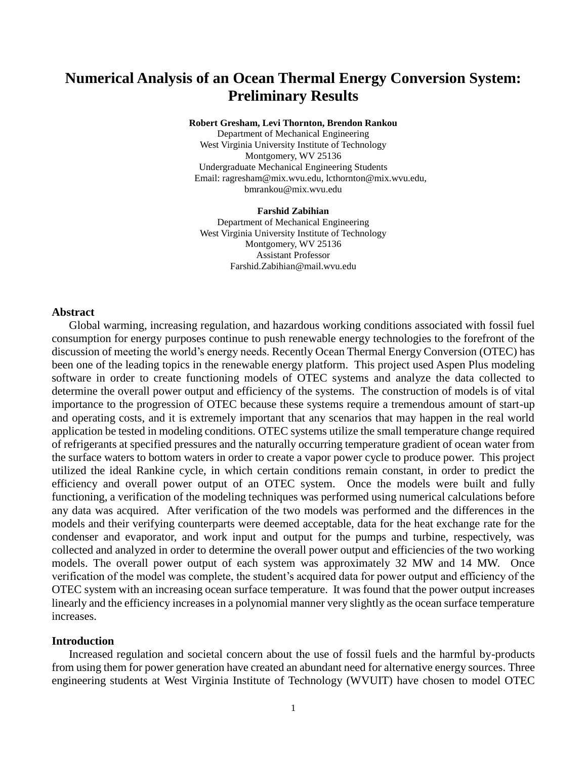# **Numerical Analysis of an Ocean Thermal Energy Conversion System: Preliminary Results**

**Robert Gresham, Levi Thornton, Brendon Rankou**

Department of Mechanical Engineering West Virginia University Institute of Technology Montgomery, WV 25136 Undergraduate Mechanical Engineering Students Email: ragresham@mix.wvu.edu, lcthornton@mix.wvu.edu, bmrankou@mix.wvu.edu

#### **Farshid Zabihian**

Department of Mechanical Engineering West Virginia University Institute of Technology Montgomery, WV 25136 Assistant Professor Farshid.Zabihian@mail.wvu.edu

## **Abstract**

Global warming, increasing regulation, and hazardous working conditions associated with fossil fuel consumption for energy purposes continue to push renewable energy technologies to the forefront of the discussion of meeting the world's energy needs. Recently Ocean Thermal Energy Conversion (OTEC) has been one of the leading topics in the renewable energy platform. This project used Aspen Plus modeling software in order to create functioning models of OTEC systems and analyze the data collected to determine the overall power output and efficiency of the systems. The construction of models is of vital importance to the progression of OTEC because these systems require a tremendous amount of start-up and operating costs, and it is extremely important that any scenarios that may happen in the real world application be tested in modeling conditions. OTEC systems utilize the small temperature change required of refrigerants at specified pressures and the naturally occurring temperature gradient of ocean water from the surface waters to bottom waters in order to create a vapor power cycle to produce power. This project utilized the ideal Rankine cycle, in which certain conditions remain constant, in order to predict the efficiency and overall power output of an OTEC system. Once the models were built and fully functioning, a verification of the modeling techniques was performed using numerical calculations before any data was acquired. After verification of the two models was performed and the differences in the models and their verifying counterparts were deemed acceptable, data for the heat exchange rate for the condenser and evaporator, and work input and output for the pumps and turbine, respectively, was collected and analyzed in order to determine the overall power output and efficiencies of the two working models. The overall power output of each system was approximately 32 MW and 14 MW. Once verification of the model was complete, the student's acquired data for power output and efficiency of the OTEC system with an increasing ocean surface temperature. It was found that the power output increases linearly and the efficiency increases in a polynomial manner very slightly as the ocean surface temperature increases.

#### **Introduction**

Increased regulation and societal concern about the use of fossil fuels and the harmful by-products from using them for power generation have created an abundant need for alternative energy sources. Three engineering students at West Virginia Institute of Technology (WVUIT) have chosen to model OTEC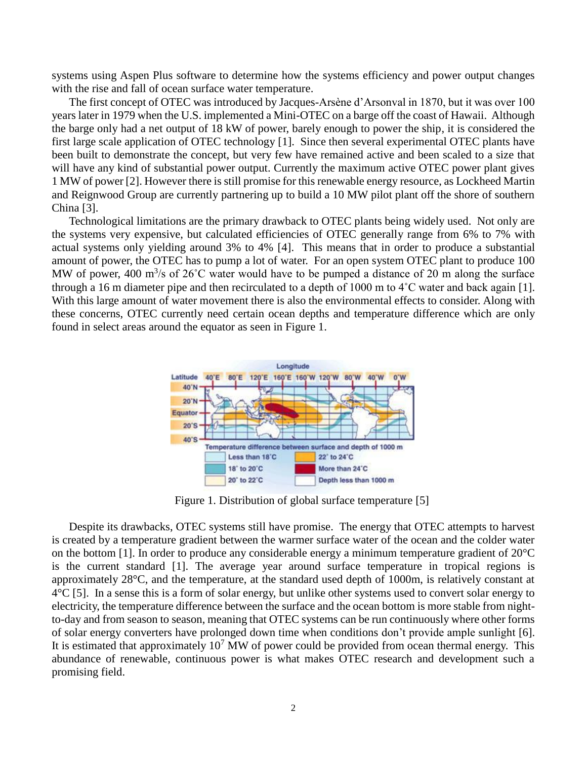systems using Aspen Plus software to determine how the systems efficiency and power output changes with the rise and fall of ocean surface water temperature.

The first concept of OTEC was introduced by Jacques-Arsène d'Arsonval in 1870, but it was over 100 years later in 1979 when the U.S. implemented a Mini-OTEC on a barge off the coast of Hawaii. Although the barge only had a net output of 18 kW of power, barely enough to power the ship, it is considered the first large scale application of OTEC technology [1]. Since then several experimental OTEC plants have been built to demonstrate the concept, but very few have remained active and been scaled to a size that will have any kind of substantial power output. Currently the maximum active OTEC power plant gives 1 MW of power [2]. However there is still promise for this renewable energy resource, as Lockheed Martin and Reignwood Group are currently partnering up to build a 10 MW pilot plant off the shore of southern China [3].

Technological limitations are the primary drawback to OTEC plants being widely used. Not only are the systems very expensive, but calculated efficiencies of OTEC generally range from 6% to 7% with actual systems only yielding around 3% to 4% [4]. This means that in order to produce a substantial amount of power, the OTEC has to pump a lot of water. For an open system OTEC plant to produce 100 MW of power, 400  $\text{m}^3$ /s of 26°C water would have to be pumped a distance of 20 m along the surface through a 16 m diameter pipe and then recirculated to a depth of 1000 m to 4˚C water and back again [1]. With this large amount of water movement there is also the environmental effects to consider. Along with these concerns, OTEC currently need certain ocean depths and temperature difference which are only found in select areas around the equator as seen in Figure 1.



Figure 1. Distribution of global surface temperature [5]

Despite its drawbacks, OTEC systems still have promise. The energy that OTEC attempts to harvest is created by a temperature gradient between the warmer surface water of the ocean and the colder water on the bottom [1]. In order to produce any considerable energy a minimum temperature gradient of 20°C is the current standard [1]. The average year around surface temperature in tropical regions is approximately 28°C, and the temperature, at the standard used depth of 1000m, is relatively constant at  $4^{\circ}C$  [5]. In a sense this is a form of solar energy, but unlike other systems used to convert solar energy to electricity, the temperature difference between the surface and the ocean bottom is more stable from nightto-day and from season to season, meaning that OTEC systems can be run continuously where other forms of solar energy converters have prolonged down time when conditions don't provide ample sunlight [6]. It is estimated that approximately  $10<sup>7</sup>$  MW of power could be provided from ocean thermal energy. This abundance of renewable, continuous power is what makes OTEC research and development such a promising field.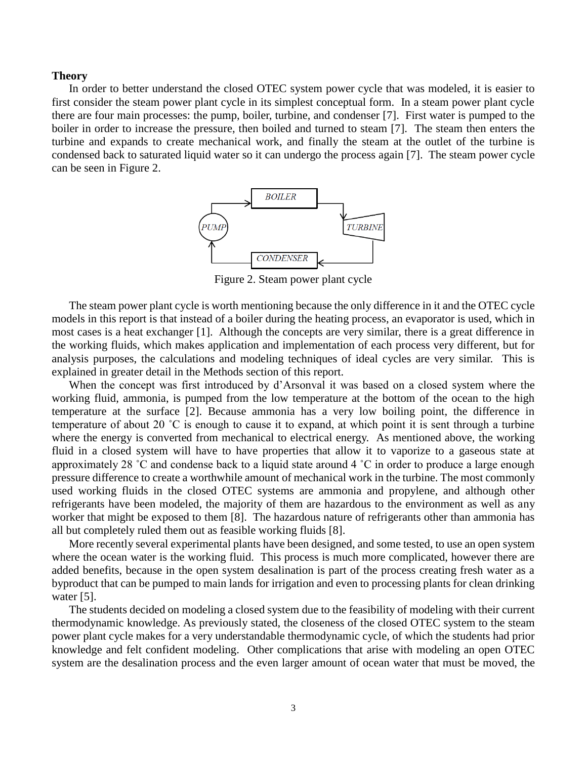#### **Theory**

In order to better understand the closed OTEC system power cycle that was modeled, it is easier to first consider the steam power plant cycle in its simplest conceptual form. In a steam power plant cycle there are four main processes: the pump, boiler, turbine, and condenser [7]. First water is pumped to the boiler in order to increase the pressure, then boiled and turned to steam [7]. The steam then enters the turbine and expands to create mechanical work, and finally the steam at the outlet of the turbine is condensed back to saturated liquid water so it can undergo the process again [7]. The steam power cycle can be seen in Figure 2.



Figure 2. Steam power plant cycle

The steam power plant cycle is worth mentioning because the only difference in it and the OTEC cycle models in this report is that instead of a boiler during the heating process, an evaporator is used, which in most cases is a heat exchanger [1]. Although the concepts are very similar, there is a great difference in the working fluids, which makes application and implementation of each process very different, but for analysis purposes, the calculations and modeling techniques of ideal cycles are very similar. This is explained in greater detail in the Methods section of this report.

When the concept was first introduced by d'Arsonval it was based on a closed system where the working fluid, ammonia, is pumped from the low temperature at the bottom of the ocean to the high temperature at the surface [2]. Because ammonia has a very low boiling point, the difference in temperature of about 20 ˚C is enough to cause it to expand, at which point it is sent through a turbine where the energy is converted from mechanical to electrical energy. As mentioned above, the working fluid in a closed system will have to have properties that allow it to vaporize to a gaseous state at approximately 28 ˚C and condense back to a liquid state around 4 ˚C in order to produce a large enough pressure difference to create a worthwhile amount of mechanical work in the turbine. The most commonly used working fluids in the closed OTEC systems are ammonia and propylene, and although other refrigerants have been modeled, the majority of them are hazardous to the environment as well as any worker that might be exposed to them [8]. The hazardous nature of refrigerants other than ammonia has all but completely ruled them out as feasible working fluids [8].

More recently several experimental plants have been designed, and some tested, to use an open system where the ocean water is the working fluid. This process is much more complicated, however there are added benefits, because in the open system desalination is part of the process creating fresh water as a byproduct that can be pumped to main lands for irrigation and even to processing plants for clean drinking water [5].

The students decided on modeling a closed system due to the feasibility of modeling with their current thermodynamic knowledge. As previously stated, the closeness of the closed OTEC system to the steam power plant cycle makes for a very understandable thermodynamic cycle, of which the students had prior knowledge and felt confident modeling. Other complications that arise with modeling an open OTEC system are the desalination process and the even larger amount of ocean water that must be moved, the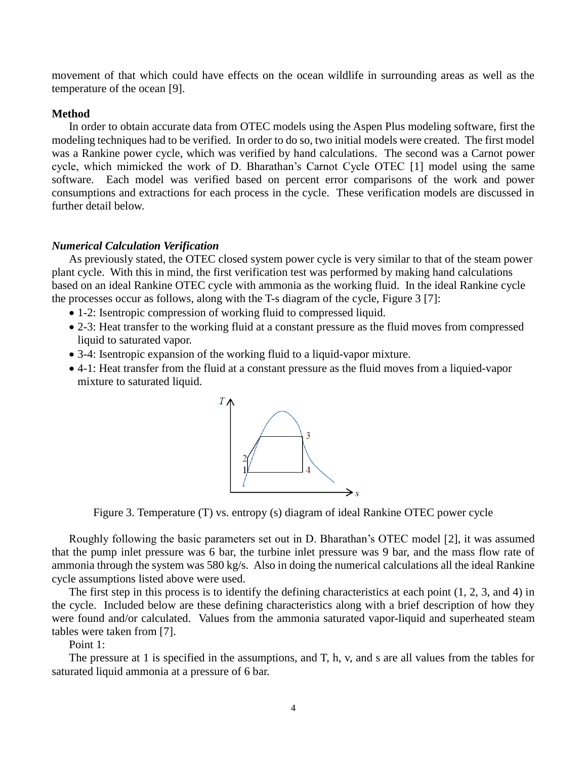movement of that which could have effects on the ocean wildlife in surrounding areas as well as the temperature of the ocean [9].

## **Method**

In order to obtain accurate data from OTEC models using the Aspen Plus modeling software, first the modeling techniques had to be verified. In order to do so, two initial models were created. The first model was a Rankine power cycle, which was verified by hand calculations. The second was a Carnot power cycle, which mimicked the work of D. Bharathan's Carnot Cycle OTEC [1] model using the same software. Each model was verified based on percent error comparisons of the work and power consumptions and extractions for each process in the cycle. These verification models are discussed in further detail below.

#### *Numerical Calculation Verification*

As previously stated, the OTEC closed system power cycle is very similar to that of the steam power plant cycle. With this in mind, the first verification test was performed by making hand calculations based on an ideal Rankine OTEC cycle with ammonia as the working fluid. In the ideal Rankine cycle the processes occur as follows, along with the T-s diagram of the cycle, Figure 3 [7]:

- 1-2: Isentropic compression of working fluid to compressed liquid.
- 2-3: Heat transfer to the working fluid at a constant pressure as the fluid moves from compressed liquid to saturated vapor.
- 3-4: Isentropic expansion of the working fluid to a liquid-vapor mixture.
- 4-1: Heat transfer from the fluid at a constant pressure as the fluid moves from a liquied-vapor mixture to saturated liquid.



Figure 3. Temperature (T) vs. entropy (s) diagram of ideal Rankine OTEC power cycle

Roughly following the basic parameters set out in D. Bharathan's OTEC model [2], it was assumed that the pump inlet pressure was 6 bar, the turbine inlet pressure was 9 bar, and the mass flow rate of ammonia through the system was 580 kg/s. Also in doing the numerical calculations all the ideal Rankine cycle assumptions listed above were used.

The first step in this process is to identify the defining characteristics at each point (1, 2, 3, and 4) in the cycle. Included below are these defining characteristics along with a brief description of how they were found and/or calculated. Values from the ammonia saturated vapor-liquid and superheated steam tables were taken from [7].

Point 1:

The pressure at 1 is specified in the assumptions, and T, h, v, and s are all values from the tables for saturated liquid ammonia at a pressure of 6 bar.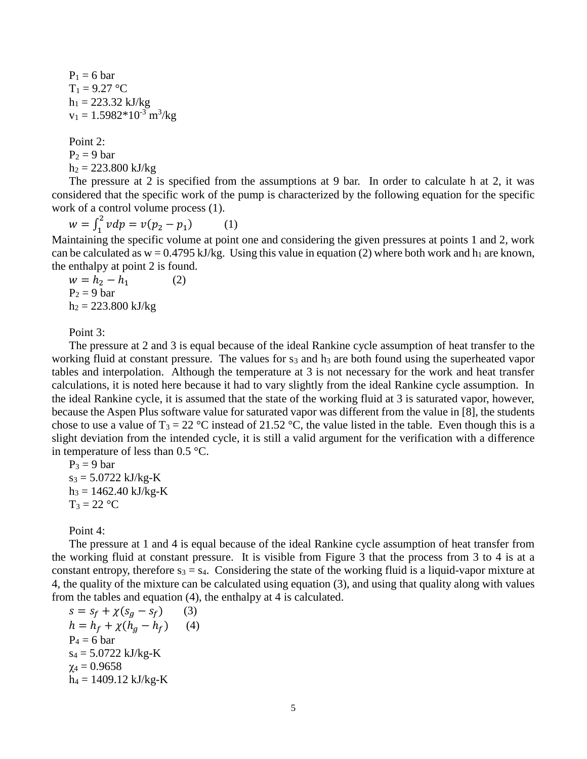$P_1 = 6$  bar  $T_1 = 9.27 °C$  $h_1 = 223.32$  kJ/kg  $v_1 = 1.5982*10^{-3}$  m<sup>3</sup>/kg

Point 2:  $P_2 = 9$  bar  $h_2 = 223.800 \text{ kJ/kg}$ 

The pressure at 2 is specified from the assumptions at 9 bar. In order to calculate h at 2, it was considered that the specific work of the pump is characterized by the following equation for the specific work of a control volume process (1).

 $w = \int_1^2 v dp = v(p_2 - p_1)$ 1 (1)

Maintaining the specific volume at point one and considering the given pressures at points 1 and 2, work can be calculated as  $w = 0.4795$  kJ/kg. Using this value in equation (2) where both work and  $h_1$  are known, the enthalpy at point 2 is found.

$$
w = h2 - h1 \t(2)
$$
  
P<sub>2</sub> = 9 bar  
h<sub>2</sub> = 223.800 kJ/kg

Point 3:

The pressure at 2 and 3 is equal because of the ideal Rankine cycle assumption of heat transfer to the working fluid at constant pressure. The values for  $s_3$  and  $h_3$  are both found using the superheated vapor tables and interpolation. Although the temperature at 3 is not necessary for the work and heat transfer calculations, it is noted here because it had to vary slightly from the ideal Rankine cycle assumption. In the ideal Rankine cycle, it is assumed that the state of the working fluid at 3 is saturated vapor, however, because the Aspen Plus software value for saturated vapor was different from the value in [8], the students chose to use a value of  $T_3 = 22 \text{ °C}$  instead of 21.52  $\text{ °C}$ , the value listed in the table. Even though this is a slight deviation from the intended cycle, it is still a valid argument for the verification with a difference in temperature of less than 0.5 °C.

 $P_3 = 9$  bar  $s_3 = 5.0722$  kJ/kg-K  $h_3 = 1462.40 \text{ kJ/kg-K}$  $T_3 = 22 °C$ 

Point 4:

The pressure at 1 and 4 is equal because of the ideal Rankine cycle assumption of heat transfer from the working fluid at constant pressure. It is visible from Figure 3 that the process from 3 to 4 is at a constant entropy, therefore  $s_3 = s_4$ . Considering the state of the working fluid is a liquid-vapor mixture at 4, the quality of the mixture can be calculated using equation (3), and using that quality along with values from the tables and equation (4), the enthalpy at 4 is calculated.

$$
s = s_f + \chi(s_g - s_f)
$$
(3)  
\n
$$
h = h_f + \chi(h_g - h_f)
$$
(4)  
\n
$$
P_4 = 6 \text{ bar}
$$
  
\n
$$
s_4 = 5.0722 \text{ kJ/kg-K}
$$
  
\n
$$
\chi_4 = 0.9658
$$
  
\n
$$
h_4 = 1409.12 \text{ kJ/kg-K}
$$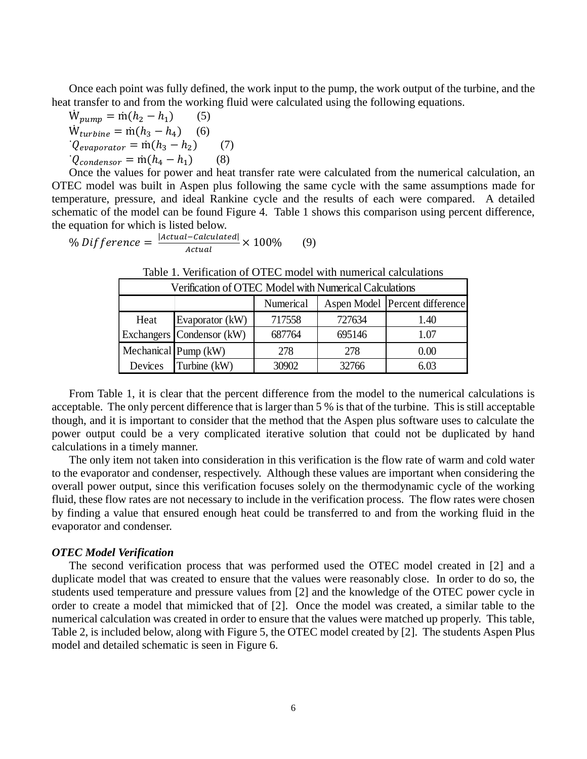Once each point was fully defined, the work input to the pump, the work output of the turbine, and the heat transfer to and from the working fluid were calculated using the following equations.

$$
W_{pump} = m(h_2 - h_1)
$$
 (5)  
\n
$$
W_{turbine} = m(h_3 - h_4)
$$
 (6)  
\n
$$
Q_{evaporator} = m(h_3 - h_2)
$$
 (7)  
\n
$$
Q_{condensor} = m(h_4 - h_1)
$$
 (8)

Devices

Once the values for power and heat transfer rate were calculated from the numerical calculation, an OTEC model was built in Aspen plus following the same cycle with the same assumptions made for temperature, pressure, and ideal Rankine cycle and the results of each were compared. A detailed schematic of the model can be found Figure 4. Table 1 shows this comparison using percent difference, the equation for which is listed below.

$$
\% \text{ Difference} = \frac{|\text{Actual}-\text{Calculateed}|}{\text{Actual}} \times 100\% \qquad (9)
$$

| Verification of OTEC Model with Numerical Calculations |                           |           |        |                                  |  |  |
|--------------------------------------------------------|---------------------------|-----------|--------|----------------------------------|--|--|
|                                                        |                           | Numerical |        | Aspen Model   Percent difference |  |  |
| Heat                                                   | Evaporator (kW)           | 717558    | 727634 | 1.40                             |  |  |
|                                                        | Exchangers Condensor (kW) | 687764    | 695146 | 1.07                             |  |  |
|                                                        | Mechanical Pump (kW)      | 278       | 278    |                                  |  |  |

Table 1. Verification of OTEC model with numerical calculations

From Table 1, it is clear that the percent difference from the model to the numerical calculations is acceptable. The only percent difference that is larger than 5 % is that of the turbine. This is still acceptable though, and it is important to consider that the method that the Aspen plus software uses to calculate the power output could be a very complicated iterative solution that could not be duplicated by hand calculations in a timely manner.

Turbine (kW)  $\begin{array}{|c|c|c|c|c|c|} \hline 30902 & 32766 & 6.03 \\ \hline \end{array}$ 

The only item not taken into consideration in this verification is the flow rate of warm and cold water to the evaporator and condenser, respectively. Although these values are important when considering the overall power output, since this verification focuses solely on the thermodynamic cycle of the working fluid, these flow rates are not necessary to include in the verification process. The flow rates were chosen by finding a value that ensured enough heat could be transferred to and from the working fluid in the evaporator and condenser.

# *OTEC Model Verification*

The second verification process that was performed used the OTEC model created in [2] and a duplicate model that was created to ensure that the values were reasonably close. In order to do so, the students used temperature and pressure values from [2] and the knowledge of the OTEC power cycle in order to create a model that mimicked that of [2]. Once the model was created, a similar table to the numerical calculation was created in order to ensure that the values were matched up properly. This table, Table 2, is included below, along with Figure 5, the OTEC model created by [2]. The students Aspen Plus model and detailed schematic is seen in Figure 6.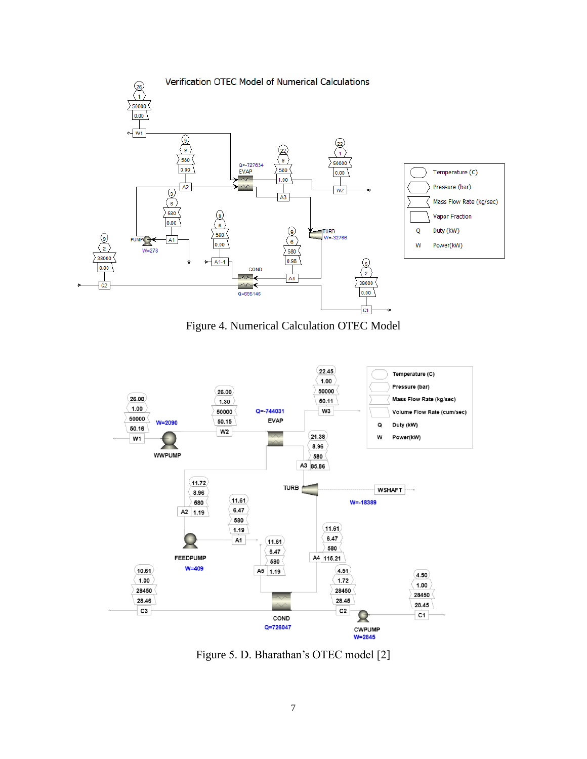

Figure 4. Numerical Calculation OTEC Model



Figure 5. D. Bharathan's OTEC model [2]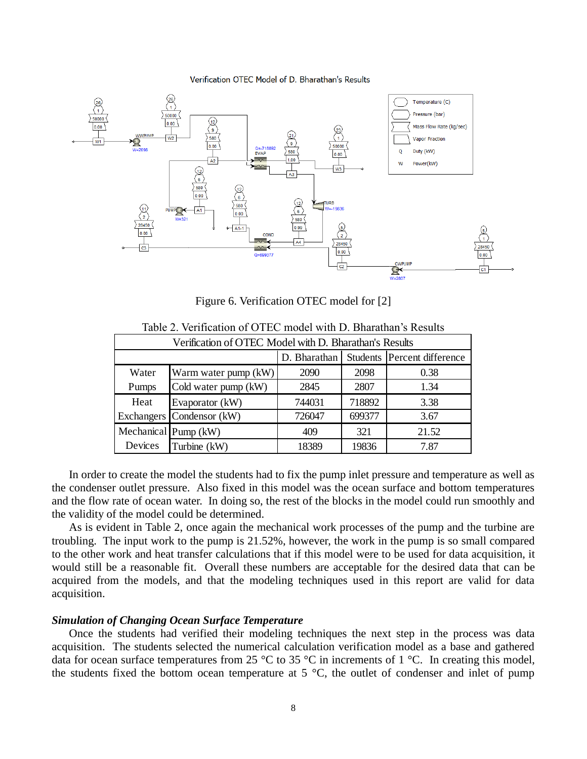#### Verification OTEC Model of D. Bharathan's Results



Figure 6. Verification OTEC model for [2]

| Verification of OTEC Model with D. Bharathan's Results |                           |              |        |                             |  |  |
|--------------------------------------------------------|---------------------------|--------------|--------|-----------------------------|--|--|
|                                                        |                           | D. Bharathan |        | Students Percent difference |  |  |
| Water                                                  | Warm water pump (kW)      | 2090         | 2098   | 0.38                        |  |  |
| Pumps                                                  | Cold water pump (kW)      | 2845         | 2807   | 1.34                        |  |  |
| Heat                                                   | Evaporator (kW)           | 744031       | 718892 | 3.38                        |  |  |
|                                                        | Exchangers Condensor (kW) | 726047       | 699377 | 3.67                        |  |  |
|                                                        | Mechanical Pump (kW)      | 409          | 321    | 21.52                       |  |  |
| Devices                                                | Turbine (kW)              | 18389        | 19836  | 7.87                        |  |  |

Table 2. Verification of OTEC model with D. Bharathan's Results

In order to create the model the students had to fix the pump inlet pressure and temperature as well as the condenser outlet pressure. Also fixed in this model was the ocean surface and bottom temperatures and the flow rate of ocean water. In doing so, the rest of the blocks in the model could run smoothly and the validity of the model could be determined.

As is evident in Table 2, once again the mechanical work processes of the pump and the turbine are troubling. The input work to the pump is 21.52%, however, the work in the pump is so small compared to the other work and heat transfer calculations that if this model were to be used for data acquisition, it would still be a reasonable fit. Overall these numbers are acceptable for the desired data that can be acquired from the models, and that the modeling techniques used in this report are valid for data acquisition.

## *Simulation of Changing Ocean Surface Temperature*

Once the students had verified their modeling techniques the next step in the process was data acquisition. The students selected the numerical calculation verification model as a base and gathered data for ocean surface temperatures from 25  $\degree$ C to 35  $\degree$ C in increments of 1  $\degree$ C. In creating this model, the students fixed the bottom ocean temperature at 5 °C, the outlet of condenser and inlet of pump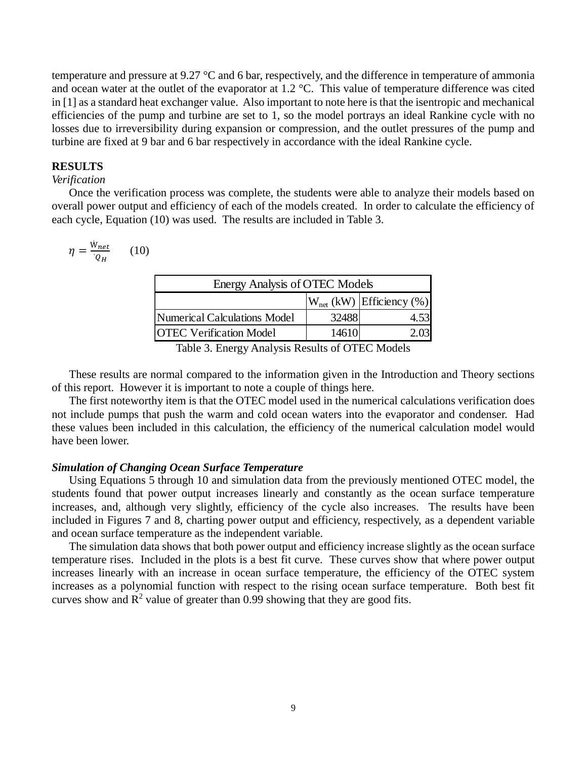temperature and pressure at 9.27 °C and 6 bar, respectively, and the difference in temperature of ammonia and ocean water at the outlet of the evaporator at 1.2 °C. This value of temperature difference was cited in [1] as a standard heat exchanger value. Also important to note here is that the isentropic and mechanical efficiencies of the pump and turbine are set to 1, so the model portrays an ideal Rankine cycle with no losses due to irreversibility during expansion or compression, and the outlet pressures of the pump and turbine are fixed at 9 bar and 6 bar respectively in accordance with the ideal Rankine cycle.

## **RESULTS**

# *Verification*

Once the verification process was complete, the students were able to analyze their models based on overall power output and efficiency of each of the models created. In order to calculate the efficiency of each cycle, Equation (10) was used. The results are included in Table 3.

$$
\eta = \frac{W_{net}}{Q_H} \qquad (10)
$$

| Energy Analysis of OTEC Models |       |                               |  |  |  |
|--------------------------------|-------|-------------------------------|--|--|--|
|                                |       | $W_{net}$ (kW) Efficiency (%) |  |  |  |
| Numerical Calculations Model   | 32488 | 4.53                          |  |  |  |
| <b>OTEC Verification Model</b> | 14610 |                               |  |  |  |
|                                |       |                               |  |  |  |

Table 3. Energy Analysis Results of OTEC Models

These results are normal compared to the information given in the Introduction and Theory sections of this report. However it is important to note a couple of things here.

The first noteworthy item is that the OTEC model used in the numerical calculations verification does not include pumps that push the warm and cold ocean waters into the evaporator and condenser. Had these values been included in this calculation, the efficiency of the numerical calculation model would have been lower.

# *Simulation of Changing Ocean Surface Temperature*

Using Equations 5 through 10 and simulation data from the previously mentioned OTEC model, the students found that power output increases linearly and constantly as the ocean surface temperature increases, and, although very slightly, efficiency of the cycle also increases. The results have been included in Figures 7 and 8, charting power output and efficiency, respectively, as a dependent variable and ocean surface temperature as the independent variable.

The simulation data shows that both power output and efficiency increase slightly as the ocean surface temperature rises. Included in the plots is a best fit curve. These curves show that where power output increases linearly with an increase in ocean surface temperature, the efficiency of the OTEC system increases as a polynomial function with respect to the rising ocean surface temperature. Both best fit curves show and  $\mathbb{R}^2$  value of greater than 0.99 showing that they are good fits.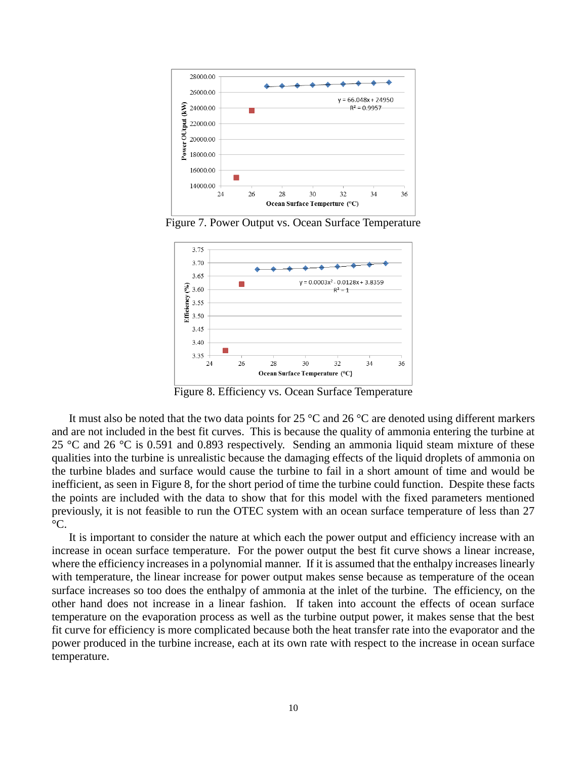

Figure 7. Power Output vs. Ocean Surface Temperature



Figure 8. Efficiency vs. Ocean Surface Temperature

It must also be noted that the two data points for 25  $\degree$ C and 26  $\degree$ C are denoted using different markers and are not included in the best fit curves. This is because the quality of ammonia entering the turbine at 25 °C and 26 °C is 0.591 and 0.893 respectively. Sending an ammonia liquid steam mixture of these qualities into the turbine is unrealistic because the damaging effects of the liquid droplets of ammonia on the turbine blades and surface would cause the turbine to fail in a short amount of time and would be inefficient, as seen in Figure 8, for the short period of time the turbine could function. Despite these facts the points are included with the data to show that for this model with the fixed parameters mentioned previously, it is not feasible to run the OTEC system with an ocean surface temperature of less than 27  $^{\circ}C$ .

It is important to consider the nature at which each the power output and efficiency increase with an increase in ocean surface temperature. For the power output the best fit curve shows a linear increase, where the efficiency increases in a polynomial manner. If it is assumed that the enthalpy increases linearly with temperature, the linear increase for power output makes sense because as temperature of the ocean surface increases so too does the enthalpy of ammonia at the inlet of the turbine. The efficiency, on the other hand does not increase in a linear fashion. If taken into account the effects of ocean surface temperature on the evaporation process as well as the turbine output power, it makes sense that the best fit curve for efficiency is more complicated because both the heat transfer rate into the evaporator and the power produced in the turbine increase, each at its own rate with respect to the increase in ocean surface temperature.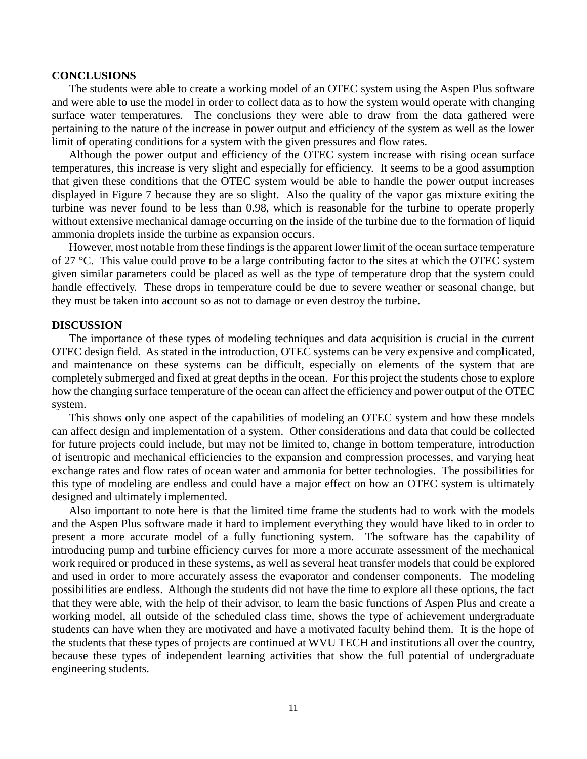#### **CONCLUSIONS**

The students were able to create a working model of an OTEC system using the Aspen Plus software and were able to use the model in order to collect data as to how the system would operate with changing surface water temperatures. The conclusions they were able to draw from the data gathered were pertaining to the nature of the increase in power output and efficiency of the system as well as the lower limit of operating conditions for a system with the given pressures and flow rates.

Although the power output and efficiency of the OTEC system increase with rising ocean surface temperatures, this increase is very slight and especially for efficiency. It seems to be a good assumption that given these conditions that the OTEC system would be able to handle the power output increases displayed in Figure 7 because they are so slight. Also the quality of the vapor gas mixture exiting the turbine was never found to be less than 0.98, which is reasonable for the turbine to operate properly without extensive mechanical damage occurring on the inside of the turbine due to the formation of liquid ammonia droplets inside the turbine as expansion occurs.

However, most notable from these findings is the apparent lower limit of the ocean surface temperature of 27 °C. This value could prove to be a large contributing factor to the sites at which the OTEC system given similar parameters could be placed as well as the type of temperature drop that the system could handle effectively. These drops in temperature could be due to severe weather or seasonal change, but they must be taken into account so as not to damage or even destroy the turbine.

#### **DISCUSSION**

The importance of these types of modeling techniques and data acquisition is crucial in the current OTEC design field. As stated in the introduction, OTEC systems can be very expensive and complicated, and maintenance on these systems can be difficult, especially on elements of the system that are completely submerged and fixed at great depths in the ocean. For this project the students chose to explore how the changing surface temperature of the ocean can affect the efficiency and power output of the OTEC system.

This shows only one aspect of the capabilities of modeling an OTEC system and how these models can affect design and implementation of a system. Other considerations and data that could be collected for future projects could include, but may not be limited to, change in bottom temperature, introduction of isentropic and mechanical efficiencies to the expansion and compression processes, and varying heat exchange rates and flow rates of ocean water and ammonia for better technologies. The possibilities for this type of modeling are endless and could have a major effect on how an OTEC system is ultimately designed and ultimately implemented.

Also important to note here is that the limited time frame the students had to work with the models and the Aspen Plus software made it hard to implement everything they would have liked to in order to present a more accurate model of a fully functioning system. The software has the capability of introducing pump and turbine efficiency curves for more a more accurate assessment of the mechanical work required or produced in these systems, as well as several heat transfer models that could be explored and used in order to more accurately assess the evaporator and condenser components. The modeling possibilities are endless. Although the students did not have the time to explore all these options, the fact that they were able, with the help of their advisor, to learn the basic functions of Aspen Plus and create a working model, all outside of the scheduled class time, shows the type of achievement undergraduate students can have when they are motivated and have a motivated faculty behind them. It is the hope of the students that these types of projects are continued at WVU TECH and institutions all over the country, because these types of independent learning activities that show the full potential of undergraduate engineering students.